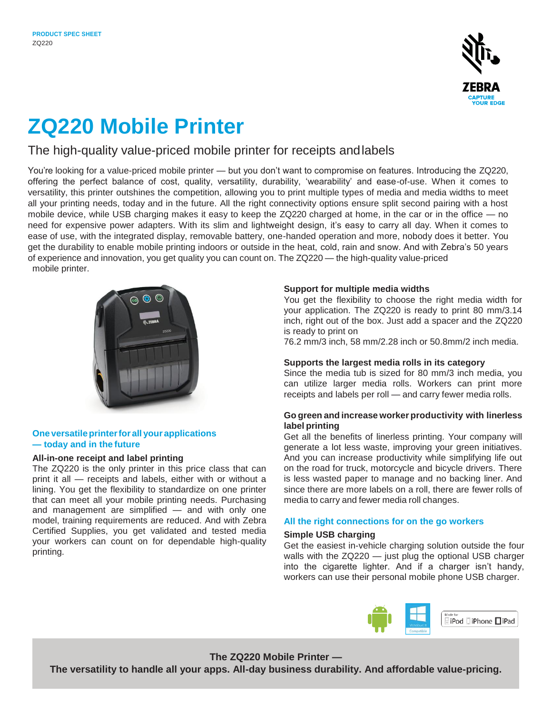

# **ZQ220 Mobile Printer**

## The high-quality value-priced mobile printer for receipts andlabels

You're looking for a value-priced mobile printer — but you don't want to compromise on features. Introducing the ZQ220, offering the perfect balance of cost, quality, versatility, durability, 'wearability' and ease-of-use. When it comes to versatility, this printer outshines the competition, allowing you to print multiple types of media and media widths to meet all your printing needs, today and in the future. All the right connectivity options ensure split second pairing with a host mobile device, while USB charging makes it easy to keep the ZQ220 charged at home, in the car or in the office — no need for expensive power adapters. With its slim and lightweight design, it's easy to carry all day. When it comes to ease of use, with the integrated display, removable battery, one-handed operation and more, nobody does it better. You get the durability to enable mobile printing indoors or outside in the heat, cold, rain and snow. And with Zebra's 50 years of experience and innovation, you get quality you can count on. The ZQ220 — the high-quality value-priced mobile printer.



## **Oneversatileprinterfor all your applications — today and in the future**

## **All-in-one receipt and label printing**

The ZQ220 is the only printer in this price class that can print it all — receipts and labels, either with or without a lining. You get the flexibility to standardize on one printer that can meet all your mobile printing needs. Purchasing and management are simplified — and with only one model, training requirements are reduced. And with Zebra Certified Supplies, you get validated and tested media your workers can count on for dependable high-quality printing.

## **Support for multiple media widths**

You get the flexibility to choose the right media width for your application. The ZQ220 is ready to print 80 mm/3.14 inch, right out of the box. Just add a spacer and the ZQ220 is ready to print on

76.2 mm/3 inch, 58 mm/2.28 inch or 50.8mm/2 inch media.

## **Supports the largest media rolls in its category**

Since the media tub is sized for 80 mm/3 inch media, you can utilize larger media rolls. Workers can print more receipts and labels per roll — and carry fewer media rolls.

## **Go green and increase worker productivity with linerless label printing**

Get all the benefits of linerless printing. Your company will generate a lot less waste, improving your green initiatives. And you can increase productivity while simplifying life out on the road for truck, motorcycle and bicycle drivers. There is less wasted paper to manage and no backing liner. And since there are more labels on a roll, there are fewer rolls of media to carry and fewer media roll changes.

## **All the right connections for on the go workers**

## **Simple USB charging**

Get the easiest in-vehicle charging solution outside the four walls with the ZQ220 — just plug the optional USB charger into the cigarette lighter. And if a charger isn't handy, workers can use their personal mobile phone USB charger.



## **The ZQ220 Mobile Printer —**

**The versatility to handle all your apps. All-day business durability. And affordable value-pricing.**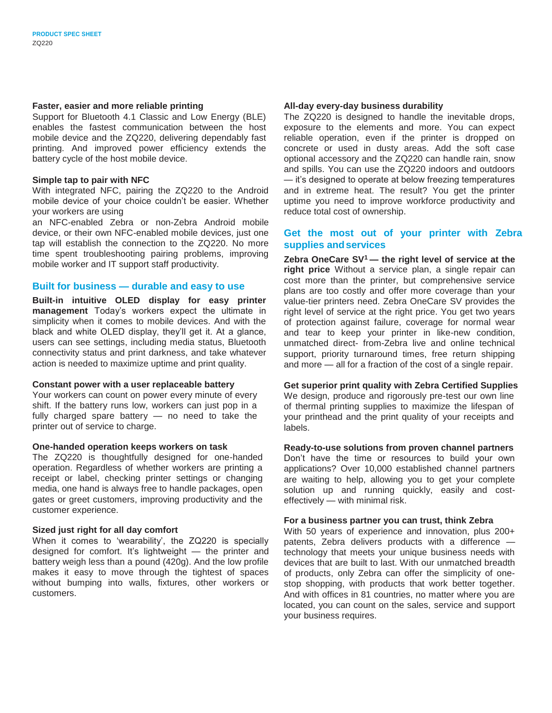### **Faster, easier and more reliable printing**

Support for Bluetooth 4.1 Classic and Low Energy (BLE) enables the fastest communication between the host mobile device and the ZQ220, delivering dependably fast printing. And improved power efficiency extends the battery cycle of the host mobile device.

#### **Simple tap to pair with NFC**

With integrated NFC, pairing the ZQ220 to the Android mobile device of your choice couldn't be easier. Whether your workers are using

an NFC-enabled Zebra or non-Zebra Android mobile device, or their own NFC-enabled mobile devices, just one tap will establish the connection to the ZQ220. No more time spent troubleshooting pairing problems, improving mobile worker and IT support staff productivity.

### **Built for business — durable and easy to use**

**Built-in intuitive OLED display for easy printer management** Today's workers expect the ultimate in simplicity when it comes to mobile devices. And with the black and white OLED display, they'll get it. At a glance, users can see settings, including media status, Bluetooth connectivity status and print darkness, and take whatever action is needed to maximize uptime and print quality.

### **Constant power with a user replaceable battery**

Your workers can count on power every minute of every shift. If the battery runs low, workers can just pop in a fully charged spare battery — no need to take the printer out of service to charge.

### **One-handed operation keeps workers on task**

The ZQ220 is thoughtfully designed for one-handed operation. Regardless of whether workers are printing a receipt or label, checking printer settings or changing media, one hand is always free to handle packages, open gates or greet customers, improving productivity and the customer experience.

### **Sized just right for all day comfort**

When it comes to 'wearability', the ZQ220 is specially designed for comfort. It's lightweight — the printer and battery weigh less than a pound (420g). And the low profile makes it easy to move through the tightest of spaces without bumping into walls, fixtures, other workers or customers.

#### **All-day every-day business durability**

The ZQ220 is designed to handle the inevitable drops, exposure to the elements and more. You can expect reliable operation, even if the printer is dropped on concrete or used in dusty areas. Add the soft case optional accessory and the ZQ220 can handle rain, snow and spills. You can use the ZQ220 indoors and outdoors — it's designed to operate at below freezing temperatures and in extreme heat. The result? You get the printer uptime you need to improve workforce productivity and reduce total cost of ownership.

## **Get the most out of your printer with Zebra supplies andservices**

**Zebra OneCare SV<sup>1</sup>— the right level of service at the right price** Without a service plan, a single repair can cost more than the printer, but comprehensive service plans are too costly and offer more coverage than your value-tier printers need. Zebra OneCare SV provides the right level of service at the right price. You get two years of protection against failure, coverage for normal wear and tear to keep your printer in like-new condition, unmatched direct- from-Zebra live and online technical support, priority turnaround times, free return shipping and more — all for a fraction of the cost of a single repair.

### **Get superior print quality with Zebra Certified Supplies**

We design, produce and rigorously pre-test our own line of thermal printing supplies to maximize the lifespan of your printhead and the print quality of your receipts and labels.

#### **Ready-to-use solutions from proven channel partners**

Don't have the time or resources to build your own applications? Over 10,000 established channel partners are waiting to help, allowing you to get your complete solution up and running quickly, easily and costeffectively — with minimal risk.

## **For a business partner you can trust, think Zebra**

With 50 years of experience and innovation, plus 200+ patents, Zebra delivers products with a difference technology that meets your unique business needs with devices that are built to last. With our unmatched breadth of products, only Zebra can offer the simplicity of onestop shopping, with products that work better together. And with offices in 81 countries, no matter where you are located, you can count on the sales, service and support your business requires.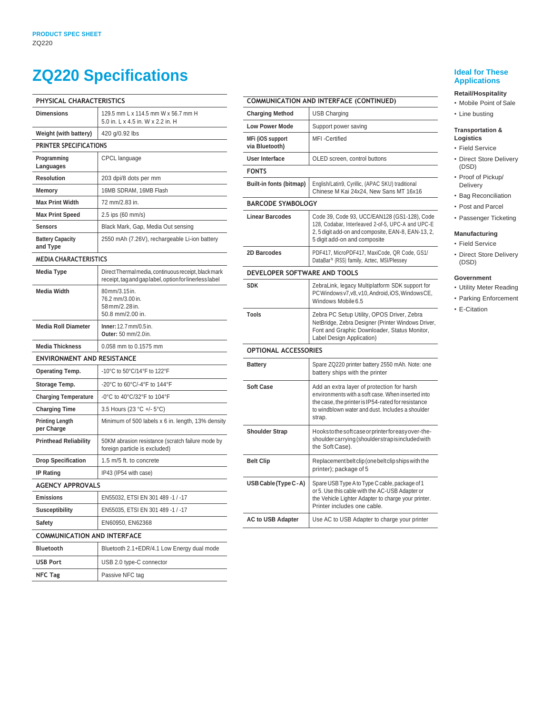## **ZQ220 Specifications Ideal for These**

| PHYSICAL CHARACTERISTICS             |                                                                                                                |  |
|--------------------------------------|----------------------------------------------------------------------------------------------------------------|--|
| <b>Dimensions</b>                    | 129.5 mm L x 114.5 mm W x 56.7 mm H<br>5.0 in. L x 4.5 in. W x 2.2 in. H                                       |  |
| Weight (with battery)                | 420 g/0.92 lbs                                                                                                 |  |
| PRINTER SPECIFICATIONS               |                                                                                                                |  |
| Programming<br>Languages             | CPCL language                                                                                                  |  |
| <b>Resolution</b>                    | 203 dpi/8 dots per mm                                                                                          |  |
| Memory                               | 16MB SDRAM, 16MB Flash                                                                                         |  |
| <b>Max Print Width</b>               | 72 mm/2.83 in.                                                                                                 |  |
| <b>Max Print Speed</b>               | 2.5 ips (60 mm/s)                                                                                              |  |
| <b>Sensors</b>                       | Black Mark, Gap, Media Out sensing                                                                             |  |
| <b>Battery Capacity</b><br>and Type  | 2550 mAh (7.26V), rechargeable Li-ion battery                                                                  |  |
| <b>MEDIA CHARACTERISTICS</b>         |                                                                                                                |  |
| <b>Media Type</b>                    | Direct Thermal media, continuous receipt, black mark<br>receipt, tag and gap label, option for linerless label |  |
| <b>Media Width</b>                   | 80mm/3.15 in.<br>76.2 mm/3.00 in.<br>58mm/2.28in.<br>50.8 mm/2.00 in.                                          |  |
| <b>Media Roll Diameter</b>           | Inner: 12.7 mm/0.5 in.<br>Outer: 50 mm/2.0in.                                                                  |  |
| <b>Media Thickness</b>               | 0.058 mm to 0.1575 mm                                                                                          |  |
| <b>ENVIRONMENT AND RESISTANCE</b>    |                                                                                                                |  |
| <b>Operating Temp.</b>               | -10°C to 50°C/14°F to 122°F                                                                                    |  |
| Storage Temp.                        | -20°C to 60°C/-4°F to 144°F                                                                                    |  |
| <b>Charging Temperature</b>          | -0°C to 40°C/32°F to 104°F                                                                                     |  |
| <b>Charging Time</b>                 | 3.5 Hours (23 °C +/- 5°C)                                                                                      |  |
| <b>Printing Length</b><br>per Charge | Minimum of 500 labels x 6 in. length, 13% density                                                              |  |
| <b>Printhead Reliability</b>         | 50KM abrasion resistance (scratch failure mode by<br>foreign particle is excluded)                             |  |
| <b>Drop Specification</b>            | 1.5 m/5 ft. to concrete                                                                                        |  |
| <b>IP Rating</b>                     | IP43 (IP54 with case)                                                                                          |  |
| <b>AGENCY APPROVALS</b>              |                                                                                                                |  |
| <b>Emissions</b>                     | EN55032, ETSI EN 301 489 -1 / -17                                                                              |  |
| <b>Susceptibility</b>                | EN55035, ETSI EN 301 489 -1 / -17                                                                              |  |
| <b>Safety</b>                        | EN60950, EN62368                                                                                               |  |
| <b>COMMUNICATION AND INTERFACE</b>   |                                                                                                                |  |
| Bluetooth                            | Bluetooth 2.1+EDR/4.1 Low Energy dual mode                                                                     |  |
| <b>USB Port</b>                      | USB 2.0 type-C connector                                                                                       |  |
| <b>NFC Tag</b>                       | Passive NFC tag                                                                                                |  |

|                                    | <b>COMMUNICATION AND INTERFACE (CONTINUED)</b>                                                                                                                                                                      |  |
|------------------------------------|---------------------------------------------------------------------------------------------------------------------------------------------------------------------------------------------------------------------|--|
| <b>Charging Method</b>             |                                                                                                                                                                                                                     |  |
|                                    | USB Charging                                                                                                                                                                                                        |  |
| <b>Low Power Mode</b>              | Support power saving                                                                                                                                                                                                |  |
| MFi (iOS support<br>via Bluetooth) | MFI-Certified                                                                                                                                                                                                       |  |
| <b>User Interface</b>              | OLED screen, control buttons                                                                                                                                                                                        |  |
| <b>FONTS</b>                       |                                                                                                                                                                                                                     |  |
| Built-in fonts (bitmap)            | English/Latin9, Cyrillic, (APAC SKU) traditional<br>Chinese M Kai 24x24, New Sans MT 16x16                                                                                                                          |  |
| <b>BARCODE SYMBOLOGY</b>           |                                                                                                                                                                                                                     |  |
| <b>Linear Barcodes</b>             | Code 39, Code 93, UCC/EAN128 (GS1-128), Code<br>128, Codabar, Interleaved 2-of-5, UPC-A and UPC-E<br>2, 5 digit add-on and composite, EAN-8, EAN-13, 2,<br>5 digit add-on and composite                             |  |
| 2D Barcodes                        | PDF417, MicroPDF417, MaxiCode, QR Code, GS1/<br>DataBar <sup>™</sup> (RSS) family, Aztec, MSI/Plessey                                                                                                               |  |
| DEVELOPER SOFTWARE AND TOOLS       |                                                                                                                                                                                                                     |  |
| <b>SDK</b>                         | ZebraLink, legacy Multiplatform SDK support for<br>PCWindows v7, v8, v10, Android, iOS, Windows CE,<br>Windows Mobile 6.5                                                                                           |  |
| Tools                              | Zebra PC Setup Utility, OPOS Driver, Zebra<br>NetBridge, Zebra Designer (Printer Windows Driver,<br>Font and Graphic Downloader, Status Monitor,<br>Label Design Application)                                       |  |
| <b>OPTIONAL ACCESSORIES</b>        |                                                                                                                                                                                                                     |  |
| <b>Battery</b>                     | Spare ZQ220 printer battery 2550 mAh. Note: one<br>battery ships with the printer                                                                                                                                   |  |
| <b>Soft Case</b>                   | Add an extra layer of protection for harsh<br>environments with a soft case. When inserted into<br>the case, the printer is IP54-rated for resistance<br>to windblown water and dust. Includes a shoulder<br>strap. |  |
| <b>Shoulder Strap</b>              | Hookstothe soft case or printer for easy over-the-<br>shouldercarrying (shoulderstrapisincluded with<br>the Soft Case).                                                                                             |  |
| <b>Belt Clip</b>                   | Replacement belt clip (one belt clip ships with the<br>printer); package of 5                                                                                                                                       |  |
| USB Cable (Type C - A)             | Spare USB Type A to Type C cable, package of 1<br>or 5. Use this cable with the AC-USB Adapter or<br>the Vehicle Lighter Adapter to charge your printer.<br>Printer includes one cable.                             |  |
| <b>AC to USB Adapter</b>           | Use AC to USB Adapter to charge your printer                                                                                                                                                                        |  |

## **Applications**

### **Retail/Hospitality**

- Mobile Point of Sale
- Line busting

#### **Transportation & Logistics**

- Field Service
- Direct Store Delivery (DSD)
- Proof of Pickup/ Delivery
- Bag Reconciliation
- Post and Parcel
	- Passenger Ticketing

### **Manufacturing**

- Field Service
- Direct Store Delivery (DSD)

#### **Government**

- Utility Meter Reading
- Parking Enforcement
- E-Citation